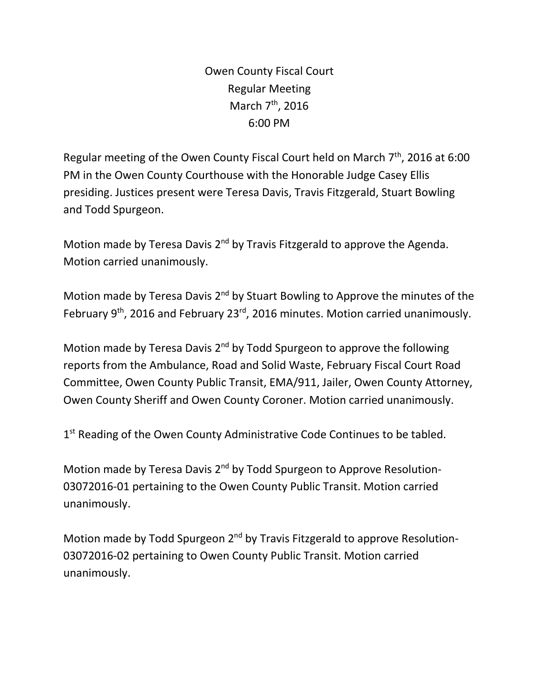Owen County Fiscal Court Regular Meeting March 7<sup>th</sup>, 2016 6:00 PM

Regular meeting of the Owen County Fiscal Court held on March  $7<sup>th</sup>$ , 2016 at 6:00 PM in the Owen County Courthouse with the Honorable Judge Casey Ellis presiding. Justices present were Teresa Davis, Travis Fitzgerald, Stuart Bowling and Todd Spurgeon.

Motion made by Teresa Davis  $2<sup>nd</sup>$  by Travis Fitzgerald to approve the Agenda. Motion carried unanimously.

Motion made by Teresa Davis 2<sup>nd</sup> by Stuart Bowling to Approve the minutes of the February 9<sup>th</sup>, 2016 and February 23<sup>rd</sup>, 2016 minutes. Motion carried unanimously.

Motion made by Teresa Davis  $2<sup>nd</sup>$  by Todd Spurgeon to approve the following reports from the Ambulance, Road and Solid Waste, February Fiscal Court Road Committee, Owen County Public Transit, EMA/911, Jailer, Owen County Attorney, Owen County Sheriff and Owen County Coroner. Motion carried unanimously.

1<sup>st</sup> Reading of the Owen County Administrative Code Continues to be tabled.

Motion made by Teresa Davis 2<sup>nd</sup> by Todd Spurgeon to Approve Resolution-03072016-01 pertaining to the Owen County Public Transit. Motion carried unanimously.

Motion made by Todd Spurgeon 2<sup>nd</sup> by Travis Fitzgerald to approve Resolution-03072016-02 pertaining to Owen County Public Transit. Motion carried unanimously.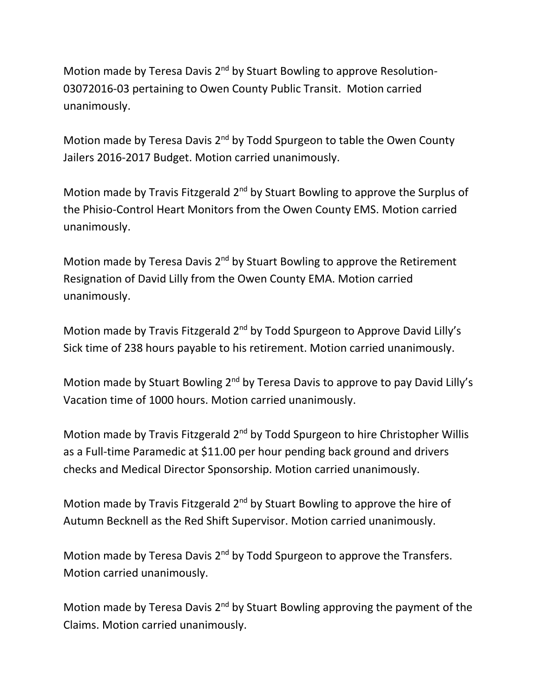Motion made by Teresa Davis 2<sup>nd</sup> by Stuart Bowling to approve Resolution-03072016-03 pertaining to Owen County Public Transit. Motion carried unanimously.

Motion made by Teresa Davis 2<sup>nd</sup> by Todd Spurgeon to table the Owen County Jailers 2016-2017 Budget. Motion carried unanimously.

Motion made by Travis Fitzgerald 2<sup>nd</sup> by Stuart Bowling to approve the Surplus of the Phisio-Control Heart Monitors from the Owen County EMS. Motion carried unanimously.

Motion made by Teresa Davis  $2<sup>nd</sup>$  by Stuart Bowling to approve the Retirement Resignation of David Lilly from the Owen County EMA. Motion carried unanimously.

Motion made by Travis Fitzgerald 2<sup>nd</sup> by Todd Spurgeon to Approve David Lilly's Sick time of 238 hours payable to his retirement. Motion carried unanimously.

Motion made by Stuart Bowling 2<sup>nd</sup> by Teresa Davis to approve to pay David Lilly's Vacation time of 1000 hours. Motion carried unanimously.

Motion made by Travis Fitzgerald 2<sup>nd</sup> by Todd Spurgeon to hire Christopher Willis as a Full-time Paramedic at \$11.00 per hour pending back ground and drivers checks and Medical Director Sponsorship. Motion carried unanimously.

Motion made by Travis Fitzgerald 2<sup>nd</sup> by Stuart Bowling to approve the hire of Autumn Becknell as the Red Shift Supervisor. Motion carried unanimously.

Motion made by Teresa Davis 2<sup>nd</sup> by Todd Spurgeon to approve the Transfers. Motion carried unanimously.

Motion made by Teresa Davis  $2^{nd}$  by Stuart Bowling approving the payment of the Claims. Motion carried unanimously.